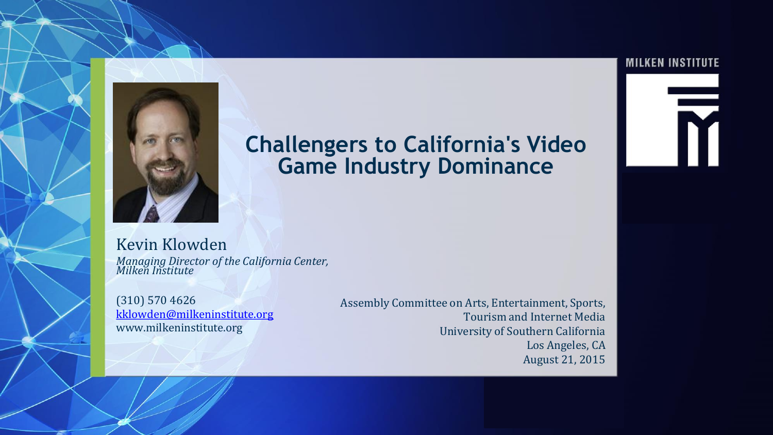

### **Challengers to California's Video Game Industry Dominance**

Kevin Klowden *Managing Director of the California Center, Milken Institute*

(310) 570 4626 [kklowden@milkeninstitute.org](mailto:kklowden@milkeninstitute.org) www.milkeninstitute.org

Assembly Committee on Arts, Entertainment, Sports, Tourism and Internet Media University of Southern California Los Angeles, CA August 21, 2015

#### **MILKEN INSTITUTE**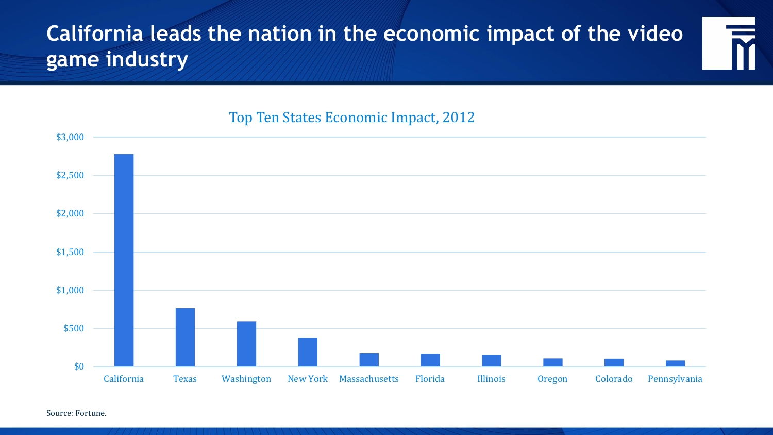## **California leads the nation in the economic impact of the video game industry**



### Top Ten States Economic Impact, 2012

Source: Fortune.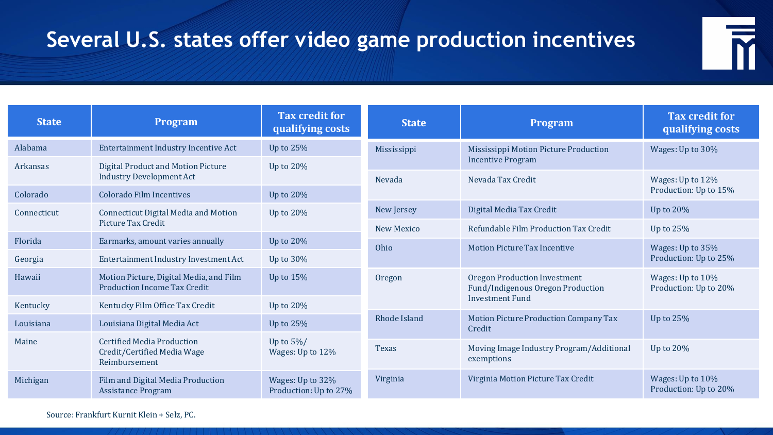# **Several U.S. states offer video game production incentives**



| <b>State</b> | <b>Program</b>                                                                    | <b>Tax credit for</b><br>qualifying costs | <b>State</b>                                                                | Program                                                | <b>Tax credit for</b><br>qualifying costs |
|--------------|-----------------------------------------------------------------------------------|-------------------------------------------|-----------------------------------------------------------------------------|--------------------------------------------------------|-------------------------------------------|
| Alabama      | Entertainment Industry Incentive Act                                              | Up to $25%$                               | Mississippi                                                                 | Mississippi Motion Picture Production                  | Wages: Up to 30%                          |
| Arkansas     | Digital Product and Motion Picture<br><b>Industry Development Act</b>             | Up to $20\%$                              | Nevada                                                                      | <b>Incentive Program</b><br>Nevada Tax Credit          | Wages: Up to 12%<br>Production: Up to 15% |
| Colorado     | Colorado Film Incentives                                                          | Up to $20\%$                              |                                                                             |                                                        |                                           |
| Connecticut  | Connecticut Digital Media and Motion                                              | Up to $20\%$                              | New Jersey                                                                  | Digital Media Tax Credit                               | Up to $20\%$                              |
|              | Picture Tax Credit                                                                |                                           | <b>New Mexico</b>                                                           | Refundable Film Production Tax Credit                  | Up to $25%$                               |
| Florida      | Earmarks, amount varies annually                                                  | Up to $20\%$                              | Ohio                                                                        | Motion Picture Tax Incentive                           | Wages: Up to 35%<br>Production: Up to 25% |
| Georgia      | Entertainment Industry Investment Act                                             | Up to $30\%$                              |                                                                             |                                                        |                                           |
| Hawaii       | Motion Picture, Digital Media, and Film<br><b>Production Income Tax Credit</b>    | Up to $15%$                               | Oregon Production Investment<br>Oregon<br>Fund/Indigenous Oregon Production |                                                        | Wages: Up to 10%<br>Production: Up to 20% |
| Kentucky     | Kentucky Film Office Tax Credit                                                   | Up to $20\%$                              |                                                                             | <b>Investment Fund</b>                                 |                                           |
| Louisiana    | Louisiana Digital Media Act                                                       | Up to $25%$                               | Rhode Island                                                                | Motion Picture Production Company Tax<br>Credit        | Up to $25%$                               |
| Maine        | <b>Certified Media Production</b><br>Credit/Certified Media Wage<br>Reimbursement | Up to $5\%/$<br>Wages: Up to 12%          | <b>Texas</b>                                                                | Moving Image Industry Program/Additional<br>exemptions | Up to $20\%$                              |
| Michigan     | Film and Digital Media Production<br><b>Assistance Program</b>                    | Wages: Up to 32%<br>Production: Up to 27% | Virginia                                                                    | Virginia Motion Picture Tax Credit                     | Wages: Up to 10%<br>Production: Up to 20% |

Source: Frankfurt Kurnit Klein + Selz, PC.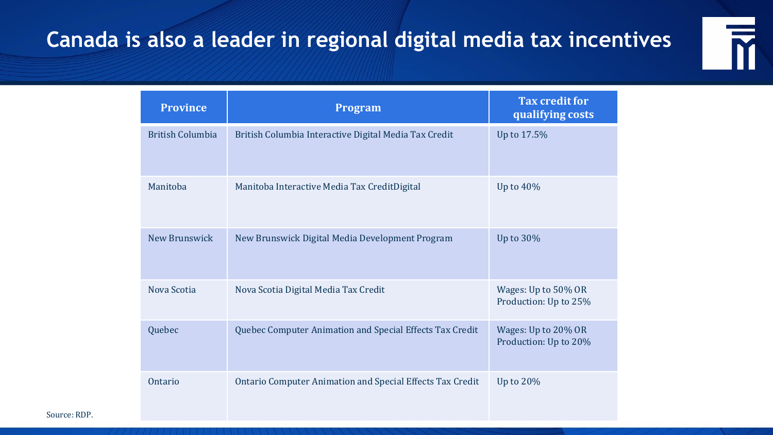## **Canada is also a leader in regional digital media tax incentives**



| <b>Province</b>         | Program                                                   | Tax credit for<br>qualifying costs           |
|-------------------------|-----------------------------------------------------------|----------------------------------------------|
| <b>British Columbia</b> | British Columbia Interactive Digital Media Tax Credit     | Up to 17.5%                                  |
| Manitoba                | Manitoba Interactive Media Tax CreditDigital              | Up to $40\%$                                 |
| New Brunswick           | New Brunswick Digital Media Development Program           | Up to 30%                                    |
| Nova Scotia             | Nova Scotia Digital Media Tax Credit                      | Wages: Up to 50% OR<br>Production: Up to 25% |
| Quebec                  | Quebec Computer Animation and Special Effects Tax Credit  | Wages: Up to 20% OR<br>Production: Up to 20% |
| Ontario                 | Ontario Computer Animation and Special Effects Tax Credit | Up to 20%                                    |